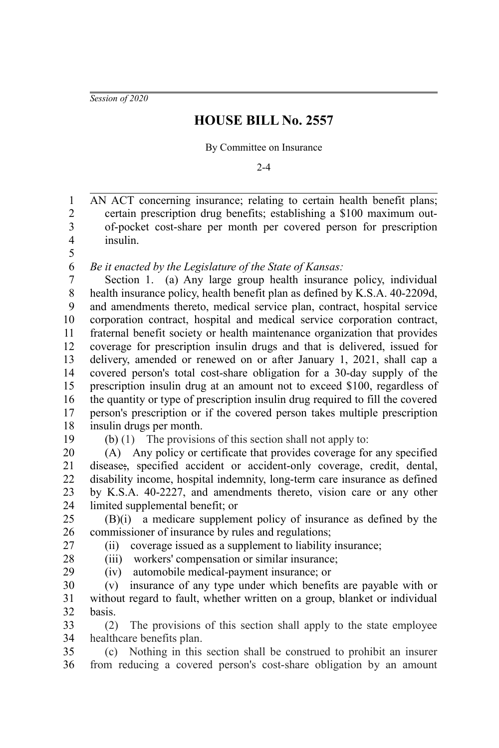*Session of 2020*

## **HOUSE BILL No. 2557**

By Committee on Insurance

 $2 - 4$ 

AN ACT concerning insurance; relating to certain health benefit plans; certain prescription drug benefits; establishing a \$100 maximum outof-pocket cost-share per month per covered person for prescription insulin. 1 2 3 4

5 6

*Be it enacted by the Legislature of the State of Kansas:*

Section 1. (a) Any large group health insurance policy, individual health insurance policy, health benefit plan as defined by K.S.A. 40-2209d, and amendments thereto, medical service plan, contract, hospital service corporation contract, hospital and medical service corporation contract, fraternal benefit society or health maintenance organization that provides coverage for prescription insulin drugs and that is delivered, issued for delivery, amended or renewed on or after January 1, 2021, shall cap a covered person's total cost-share obligation for a 30-day supply of the prescription insulin drug at an amount not to exceed \$100, regardless of the quantity or type of prescription insulin drug required to fill the covered person's prescription or if the covered person takes multiple prescription insulin drugs per month. 7 8 9 10 11 12 13 14 15 16 17 18

19

(b) (1) The provisions of this section shall not apply to:

(A) Any policy or certificate that provides coverage for any specified disease;, specified accident or accident-only coverage, credit, dental, disability income, hospital indemnity, long-term care insurance as defined by K.S.A. 40-2227, and amendments thereto, vision care or any other limited supplemental benefit; or 20 21 22 23 24

(B)(i) a medicare supplement policy of insurance as defined by the commissioner of insurance by rules and regulations; 25 26 27

(ii) coverage issued as a supplement to liability insurance;

28 29

(iii) workers' compensation or similar insurance; (iv) automobile medical-payment insurance; or

(v) insurance of any type under which benefits are payable with or without regard to fault, whether written on a group, blanket or individual basis. 30 31 32

(2) The provisions of this section shall apply to the state employee healthcare benefits plan. 33 34

(c) Nothing in this section shall be construed to prohibit an insurer from reducing a covered person's cost-share obligation by an amount 35 36